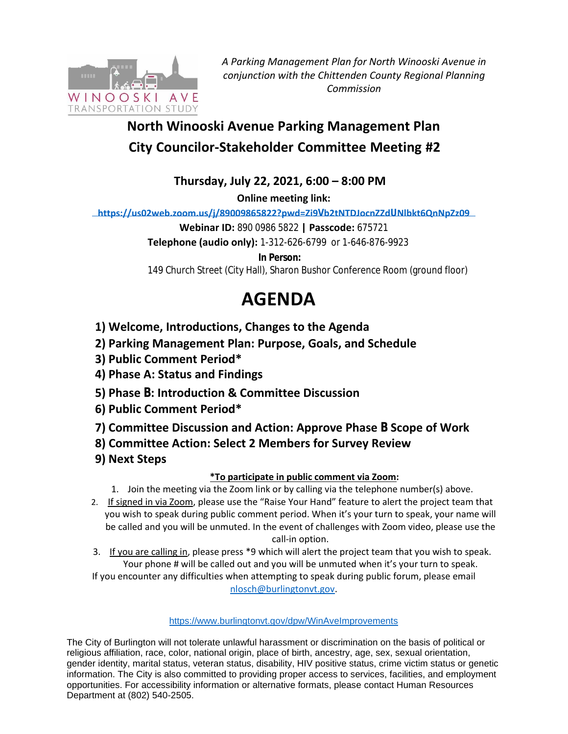

*A Parking Management Plan for North Winooski Avenue in conjunction with the Chittenden County Regional Planning Commission*

# **North Winooski Avenue Parking Management Plan City Councilor-Stakeholder Committee Meeting #2**

**Thursday, July 22, 2021, 6:00 – 8:00 PM**

**Online meeting link:** 

**[https://us02web.zoom.us/j/89009865822?pwd=Zi9](https://us02web.zoom.us/j/89436734773?pwd=d3M1eFROQmxWY2wwQ2lkdHlrbEJJZz09)Vb2tNTDJocnZZdUNlbkt6QnNpZz09** 

**Webinar ID:** 890 0986 5822 **| Passcode:** 675721

**Telephone (audio only):** 1-312-626-6799 or 1-646-876-9923

**In Person:**

149 Church Street (City Hall), Sharon Bushor Conference Room (ground floor)

# **AGENDA**

- **1) Welcome, Introductions, Changes to the Agenda**
- **2) Parking Management Plan: Purpose, Goals, and Schedule**
- **3) Public Comment Period\***
- **4) Phase A: Status and Findings**
- **5) Phase B: Introduction & Committee Discussion**
- **6) Public Comment Period\***
- **7) Committee Discussion and Action: Approve Phase B Scope of Work**
- **8) Committee Action: Select 2 Members for Survey Review**
- **9) Next Steps**

## **\*To participate in public comment via Zoom:**

- 1. Join the meeting via the Zoom link or by calling via the telephone number(s) above.
- 2. If signed in via Zoom, please use the "Raise Your Hand" feature to alert the project team that you wish to speak during public comment period. When it's your turn to speak, your name will be called and you will be unmuted. In the event of challenges with Zoom video, please use the call-in option.
- 3. If you are calling in, please press \*9 which will alert the project team that you wish to speak. Your phone # will be called out and you will be unmuted when it's your turn to speak. If you encounter any difficulties when attempting to speak during public forum, please email

[nlosch@burlingtonvt.gov.](mailto:nlosch@burlingtonvt.gov)

### <https://www.burlingtonvt.gov/dpw/WinAveImprovements>

The City of Burlington will not tolerate unlawful harassment or discrimination on the basis of political or religious affiliation, race, color, national origin, place of birth, ancestry, age, sex, sexual orientation, gender identity, marital status, veteran status, disability, HIV positive status, crime victim status or genetic information. The City is also committed to providing proper access to services, facilities, and employment opportunities. For accessibility information or alternative formats, please contact Human Resources Department at (802) 540-2505.